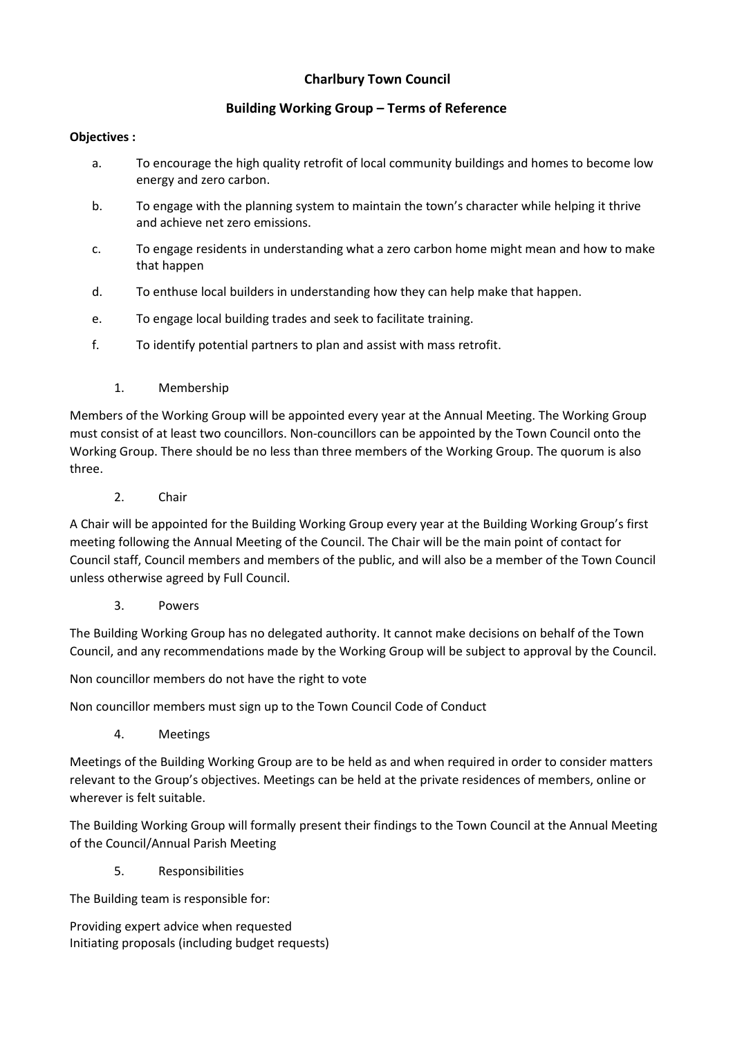## **Charlbury Town Council**

## **Building Working Group – Terms of Reference**

## **Objectives :**

- a. To encourage the high quality retrofit of local community buildings and homes to become low energy and zero carbon.
- b. To engage with the planning system to maintain the town's character while helping it thrive and achieve net zero emissions.
- c. To engage residents in understanding what a zero carbon home might mean and how to make that happen
- d. To enthuse local builders in understanding how they can help make that happen.
- e. To engage local building trades and seek to facilitate training.
- f. To identify potential partners to plan and assist with mass retrofit.
	- 1. Membership

Members of the Working Group will be appointed every year at the Annual Meeting. The Working Group must consist of at least two councillors. Non-councillors can be appointed by the Town Council onto the Working Group. There should be no less than three members of the Working Group. The quorum is also three.

2. Chair

A Chair will be appointed for the Building Working Group every year at the Building Working Group's first meeting following the Annual Meeting of the Council. The Chair will be the main point of contact for Council staff, Council members and members of the public, and will also be a member of the Town Council unless otherwise agreed by Full Council.

3. Powers

The Building Working Group has no delegated authority. It cannot make decisions on behalf of the Town Council, and any recommendations made by the Working Group will be subject to approval by the Council.

Non councillor members do not have the right to vote

Non councillor members must sign up to the Town Council Code of Conduct

4. Meetings

Meetings of the Building Working Group are to be held as and when required in order to consider matters relevant to the Group's objectives. Meetings can be held at the private residences of members, online or wherever is felt suitable.

The Building Working Group will formally present their findings to the Town Council at the Annual Meeting of the Council/Annual Parish Meeting

5. Responsibilities

The Building team is responsible for:

Providing expert advice when requested Initiating proposals (including budget requests)